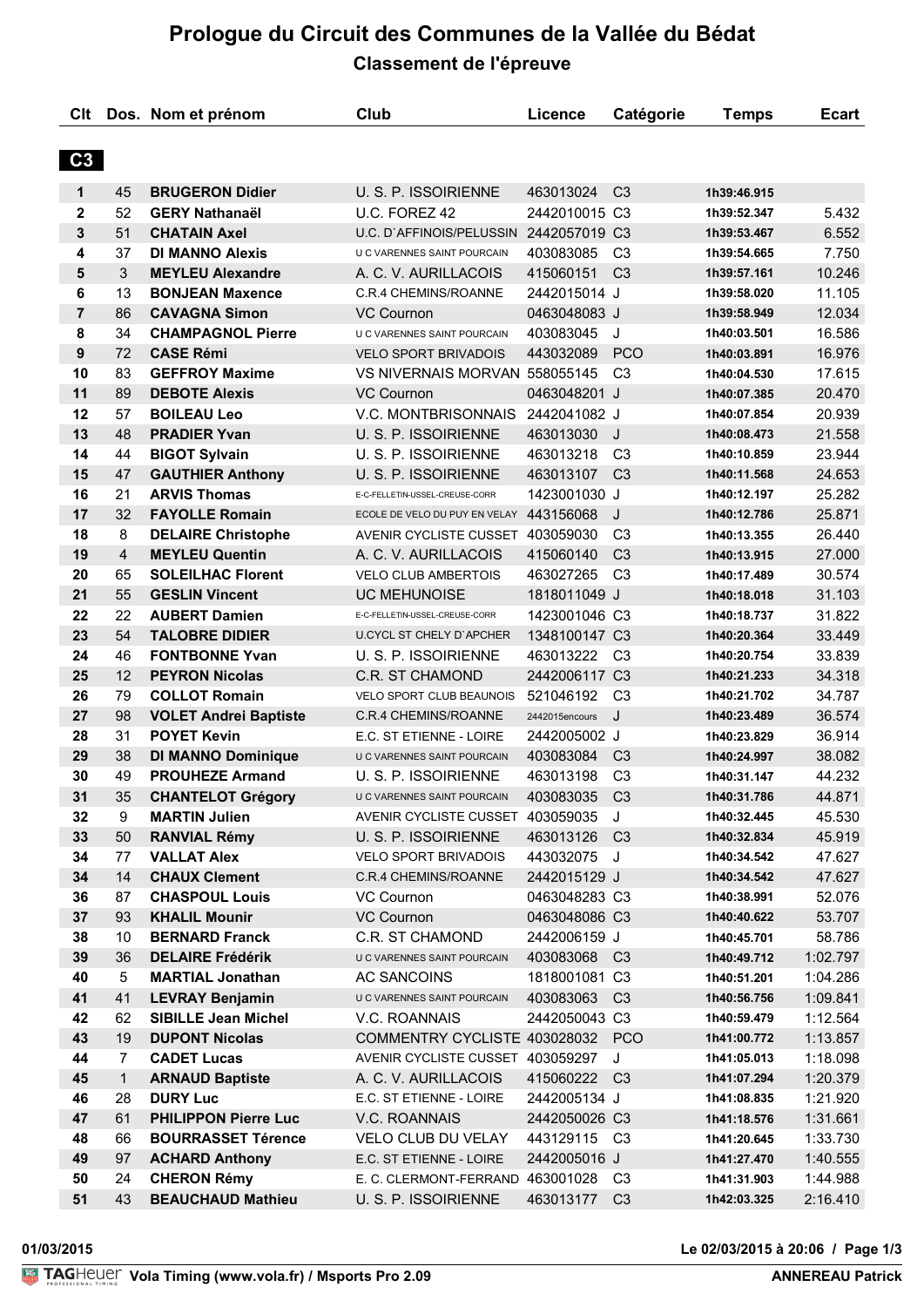# **Prologue du Circuit des Communes de la Vallée du Bédat Classement de l'épreuve**

| Clt            |                | Dos. Nom et prénom           | Club                                    | Licence        | Catégorie      | <b>Temps</b> | <b>Ecart</b> |
|----------------|----------------|------------------------------|-----------------------------------------|----------------|----------------|--------------|--------------|
| C <sub>3</sub> |                |                              |                                         |                |                |              |              |
| 1              | 45             | <b>BRUGERON Didier</b>       | U. S. P. ISSOIRIENNE                    | 463013024      | C <sub>3</sub> | 1h39:46.915  |              |
| $\mathbf{2}$   | 52             | <b>GERY Nathanaël</b>        | U.C. FOREZ 42                           | 2442010015 C3  |                | 1h39:52.347  | 5.432        |
| 3              | 51             | <b>CHATAIN Axel</b>          | U.C. D'AFFINOIS/PELUSSIN 2442057019 C3  |                |                | 1h39:53.467  | 6.552        |
| 4              | 37             | <b>DI MANNO Alexis</b>       | U C VARENNES SAINT POURCAIN             | 403083085      | C <sub>3</sub> | 1h39:54.665  | 7.750        |
| 5              | 3              | <b>MEYLEU Alexandre</b>      | A. C. V. AURILLACOIS                    | 415060151      | C <sub>3</sub> | 1h39:57.161  | 10.246       |
| 6              | 13             | <b>BONJEAN Maxence</b>       | <b>C.R.4 CHEMINS/ROANNE</b>             | 2442015014 J   |                | 1h39:58.020  | 11.105       |
| $\overline{7}$ | 86             | <b>CAVAGNA Simon</b>         | <b>VC Cournon</b>                       | 0463048083 J   |                | 1h39:58.949  | 12.034       |
| 8              | 34             | <b>CHAMPAGNOL Pierre</b>     | U C VARENNES SAINT POURCAIN             | 403083045      | J              | 1h40:03.501  | 16.586       |
| 9              | 72             | <b>CASE Rémi</b>             | <b>VELO SPORT BRIVADOIS</b>             | 443032089      | <b>PCO</b>     | 1h40:03.891  | 16.976       |
| 10             | 83             | <b>GEFFROY Maxime</b>        | VS NIVERNAIS MORVAN 558055145           |                | C <sub>3</sub> | 1h40:04.530  | 17.615       |
| 11             | 89             | <b>DEBOTE Alexis</b>         | <b>VC Cournon</b>                       | 0463048201 J   |                | 1h40:07.385  | 20.470       |
| 12             | 57             | <b>BOILEAU Leo</b>           | V.C. MONTBRISONNAIS                     | 2442041082 J   |                | 1h40:07.854  | 20.939       |
| 13             | 48             | <b>PRADIER Yvan</b>          | U. S. P. ISSOIRIENNE                    | 463013030      | J              | 1h40:08.473  | 21.558       |
| 14             | 44             | <b>BIGOT Sylvain</b>         | U. S. P. ISSOIRIENNE                    | 463013218      | C <sub>3</sub> | 1h40:10.859  | 23.944       |
| 15             | 47             | <b>GAUTHIER Anthony</b>      | U. S. P. ISSOIRIENNE                    | 463013107      | C <sub>3</sub> | 1h40:11.568  | 24.653       |
| 16             | 21             | <b>ARVIS Thomas</b>          | E-C-FELLETIN-USSEL-CREUSE-CORR          |                |                |              | 25.282       |
| 17             | 32             | <b>FAYOLLE Romain</b>        |                                         | 1423001030 J   | J              | 1h40:12.197  |              |
|                |                |                              | ECOLE DE VELO DU PUY EN VELAY 443156068 |                |                | 1h40:12.786  | 25.871       |
| 18             | 8              | <b>DELAIRE Christophe</b>    | AVENIR CYCLISTE CUSSET 403059030        |                | C <sub>3</sub> | 1h40:13.355  | 26.440       |
| 19             | $\overline{4}$ | <b>MEYLEU Quentin</b>        | A. C. V. AURILLACOIS                    | 415060140      | C <sub>3</sub> | 1h40:13.915  | 27.000       |
| 20             | 65             | <b>SOLEILHAC Florent</b>     | <b>VELO CLUB AMBERTOIS</b>              | 463027265      | C <sub>3</sub> | 1h40:17.489  | 30.574       |
| 21             | 55             | <b>GESLIN Vincent</b>        | <b>UC MEHUNOISE</b>                     | 1818011049 J   |                | 1h40:18.018  | 31.103       |
| 22             | 22             | <b>AUBERT Damien</b>         | E-C-FELLETIN-USSEL-CREUSE-CORR          | 1423001046 C3  |                | 1h40:18.737  | 31.822       |
| 23             | 54             | <b>TALOBRE DIDIER</b>        | <b>U.CYCL ST CHELY D'APCHER</b>         | 1348100147 C3  |                | 1h40:20.364  | 33.449       |
| 24             | 46             | <b>FONTBONNE Yvan</b>        | U. S. P. ISSOIRIENNE                    | 463013222      | C3             | 1h40:20.754  | 33.839       |
| 25             | 12             | <b>PEYRON Nicolas</b>        | <b>C.R. ST CHAMOND</b>                  | 2442006117 C3  |                | 1h40:21.233  | 34.318       |
| 26             | 79             | <b>COLLOT Romain</b>         | VELO SPORT CLUB BEAUNOIS                | 521046192      | C <sub>3</sub> | 1h40:21.702  | 34.787       |
| 27             | 98             | <b>VOLET Andrei Baptiste</b> | C.R.4 CHEMINS/ROANNE                    | 2442015encours | J              | 1h40:23.489  | 36.574       |
| 28             | 31             | <b>POYET Kevin</b>           | E.C. ST ETIENNE - LOIRE                 | 2442005002 J   |                | 1h40:23.829  | 36.914       |
| 29             | 38             | <b>DI MANNO Dominique</b>    | U C VARENNES SAINT POURCAIN             | 403083084      | C <sub>3</sub> | 1h40:24.997  | 38.082       |
| 30             | 49             | <b>PROUHEZE Armand</b>       | U. S. P. ISSOIRIENNE                    | 463013198      | C <sub>3</sub> | 1h40:31.147  | 44.232       |
| 31             | 35             | <b>CHANTELOT Grégory</b>     | U C VARENNES SAINT POURCAIN             | 403083035 C3   |                | 1h40:31.786  | 44.871       |
| 32             | 9              | <b>MARTIN Julien</b>         | AVENIR CYCLISTE CUSSET                  | 403059035      | J              | 1h40:32.445  | 45.530       |
| 33             | 50             | <b>RANVIAL Rémy</b>          | U. S. P. ISSOIRIENNE                    | 463013126      | C <sub>3</sub> | 1h40:32.834  | 45.919       |
| 34             | 77             | <b>VALLAT Alex</b>           | <b>VELO SPORT BRIVADOIS</b>             | 443032075      | J              | 1h40:34.542  | 47.627       |
| 34             | 14             | <b>CHAUX Clement</b>         | <b>C.R.4 CHEMINS/ROANNE</b>             | 2442015129 J   |                | 1h40:34.542  | 47.627       |
| 36             | 87             | <b>CHASPOUL Louis</b>        | VC Cournon                              | 0463048283 C3  |                | 1h40:38.991  | 52.076       |
| 37             | 93             | <b>KHALIL Mounir</b>         | <b>VC Cournon</b>                       | 0463048086 C3  |                | 1h40:40.622  | 53.707       |
| 38             | 10             | <b>BERNARD Franck</b>        | <b>C.R. ST CHAMOND</b>                  | 2442006159 J   |                | 1h40:45.701  | 58.786       |
| 39             | 36             | <b>DELAIRE Frédérik</b>      | U C VARENNES SAINT POURCAIN             | 403083068 C3   |                | 1h40:49.712  | 1:02.797     |
| 40             | 5              | <b>MARTIAL Jonathan</b>      | <b>AC SANCOINS</b>                      | 1818001081 C3  |                | 1h40:51.201  | 1:04.286     |
| 41             | 41             | <b>LEVRAY Benjamin</b>       | U C VARENNES SAINT POURCAIN             | 403083063      | C <sub>3</sub> | 1h40:56.756  | 1:09.841     |
| 42             | 62             | <b>SIBILLE Jean Michel</b>   | V.C. ROANNAIS                           | 2442050043 C3  |                | 1h40:59.479  | 1:12.564     |
| 43             | 19             | <b>DUPONT Nicolas</b>        | COMMENTRY CYCLISTE 403028032            |                | <b>PCO</b>     | 1h41:00.772  | 1:13.857     |
| 44             | 7              | <b>CADET Lucas</b>           | AVENIR CYCLISTE CUSSET                  | 403059297      | J              | 1h41:05.013  | 1:18.098     |
| 45             | 1              | <b>ARNAUD Baptiste</b>       | A. C. V. AURILLACOIS                    | 415060222      | C <sub>3</sub> | 1h41:07.294  | 1:20.379     |
| 46             | 28             | <b>DURY Luc</b>              | E.C. ST ETIENNE - LOIRE                 | 2442005134 J   |                | 1h41:08.835  | 1:21.920     |
| 47             | 61             | <b>PHILIPPON Pierre Luc</b>  | V.C. ROANNAIS                           | 2442050026 C3  |                | 1h41:18.576  | 1:31.661     |
| 48             | 66             | <b>BOURRASSET Térence</b>    | <b>VELO CLUB DU VELAY</b>               | 443129115      | C <sub>3</sub> | 1h41:20.645  | 1:33.730     |
| 49             | 97             | <b>ACHARD Anthony</b>        | E.C. ST ETIENNE - LOIRE                 | 2442005016 J   |                | 1h41:27.470  | 1:40.555     |
| 50             | 24             | <b>CHERON Rémy</b>           | E. C. CLERMONT-FERRAND 463001028        |                | C <sub>3</sub> | 1h41:31.903  | 1:44.988     |
| 51             | 43             | <b>BEAUCHAUD Mathieu</b>     | U. S. P. ISSOIRIENNE                    | 463013177      | C <sub>3</sub> | 1h42:03.325  | 2:16.410     |

**01/03/2015 Le 02/03/2015 à 20:06 / Page 1/3**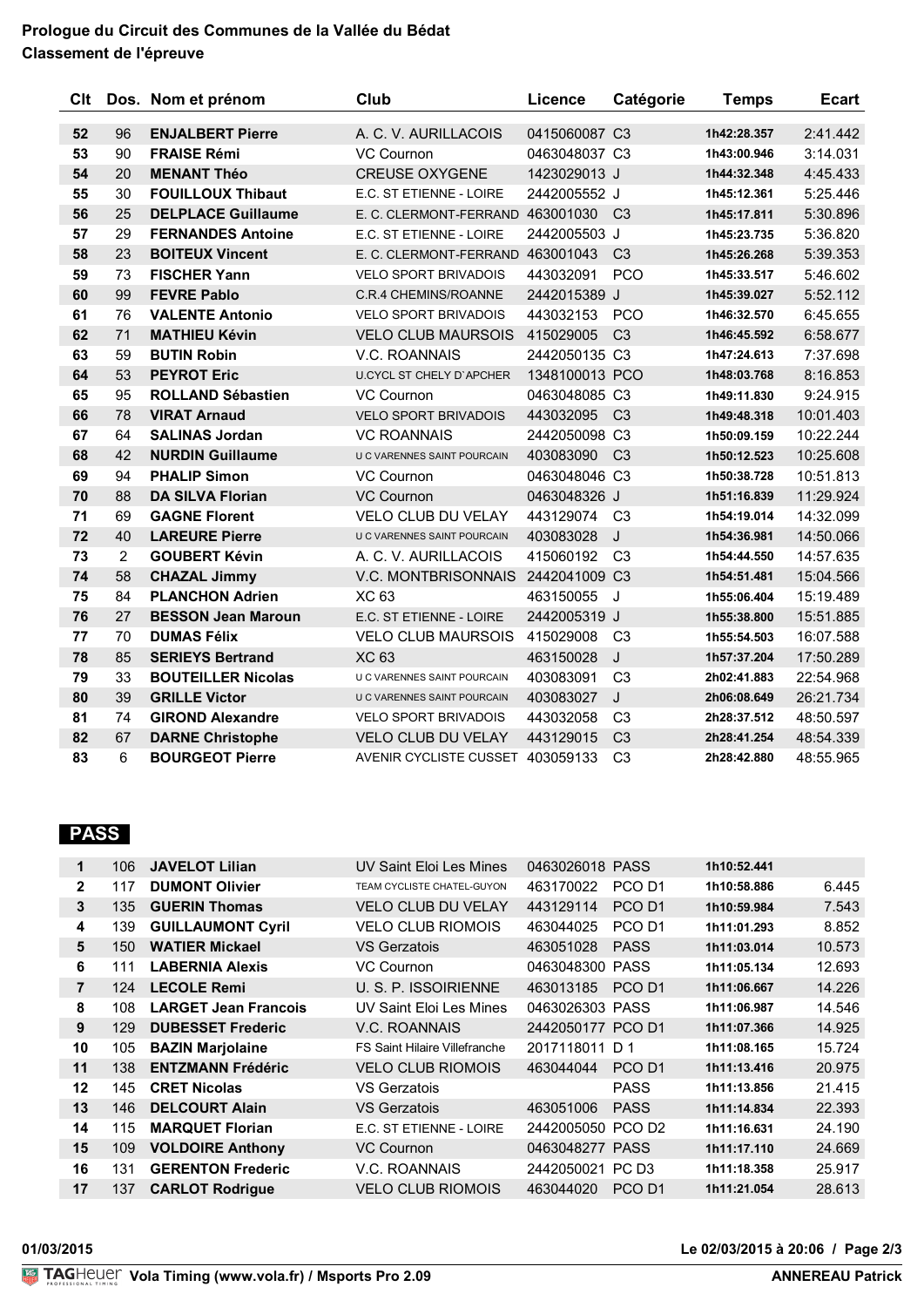## **Prologue du Circuit des Communes de la Vallée du Bédat Classement de l'épreuve**

| Clt |                | Dos. Nom et prénom        | Club                               | Licence        | Catégorie      | <b>Temps</b> | <b>Ecart</b> |
|-----|----------------|---------------------------|------------------------------------|----------------|----------------|--------------|--------------|
| 52  | 96             | <b>ENJALBERT Pierre</b>   | A. C. V. AURILLACOIS               | 0415060087 C3  |                | 1h42:28.357  | 2:41.442     |
| 53  | 90             | <b>FRAISE Rémi</b>        | VC Cournon                         | 0463048037 C3  |                | 1h43:00.946  | 3:14.031     |
| 54  | 20             | <b>MENANT Théo</b>        | <b>CREUSE OXYGENE</b>              | 1423029013 J   |                | 1h44:32.348  | 4:45.433     |
| 55  | 30             | <b>FOUILLOUX Thibaut</b>  | E.C. ST ETIENNE - LOIRE            | 2442005552 J   |                | 1h45:12.361  | 5:25.446     |
| 56  | 25             | <b>DELPLACE Guillaume</b> | E. C. CLERMONT-FERRAND             | 463001030      | C <sub>3</sub> | 1h45:17.811  | 5:30.896     |
| 57  | 29             | <b>FERNANDES Antoine</b>  | E.C. ST ETIENNE - LOIRE            | 2442005503 J   |                | 1h45:23.735  | 5:36.820     |
| 58  | 23             | <b>BOITEUX Vincent</b>    | E. C. CLERMONT-FERRAND 463001043   |                | C <sub>3</sub> | 1h45:26.268  | 5:39.353     |
| 59  | 73             | <b>FISCHER Yann</b>       | <b>VELO SPORT BRIVADOIS</b>        | 443032091      | <b>PCO</b>     | 1h45:33.517  | 5:46.602     |
| 60  | 99             | <b>FEVRE Pablo</b>        | <b>C.R.4 CHEMINS/ROANNE</b>        | 2442015389 J   |                | 1h45:39.027  | 5:52.112     |
| 61  | 76             | <b>VALENTE Antonio</b>    | <b>VELO SPORT BRIVADOIS</b>        | 443032153      | <b>PCO</b>     | 1h46:32.570  | 6:45.655     |
| 62  | 71             | <b>MATHIEU Kévin</b>      | <b>VELO CLUB MAURSOIS</b>          | 415029005      | C <sub>3</sub> | 1h46:45.592  | 6:58.677     |
| 63  | 59             | <b>BUTIN Robin</b>        | V.C. ROANNAIS                      | 2442050135 C3  |                | 1h47:24.613  | 7:37.698     |
| 64  | 53             | <b>PEYROT Eric</b>        | <b>U.CYCL ST CHELY D'APCHER</b>    | 1348100013 PCO |                | 1h48:03.768  | 8:16.853     |
| 65  | 95             | <b>ROLLAND Sébastien</b>  | <b>VC Cournon</b>                  | 0463048085 C3  |                | 1h49:11.830  | 9:24.915     |
| 66  | 78             | <b>VIRAT Arnaud</b>       | <b>VELO SPORT BRIVADOIS</b>        | 443032095      | C <sub>3</sub> | 1h49:48.318  | 10:01.403    |
| 67  | 64             | <b>SALINAS Jordan</b>     | <b>VC ROANNAIS</b>                 | 2442050098 C3  |                | 1h50:09.159  | 10:22.244    |
| 68  | 42             | <b>NURDIN Guillaume</b>   | <b>U C VARENNES SAINT POURCAIN</b> | 403083090      | C <sub>3</sub> | 1h50:12.523  | 10:25.608    |
| 69  | 94             | <b>PHALIP Simon</b>       | <b>VC Cournon</b>                  | 0463048046 C3  |                | 1h50:38.728  | 10:51.813    |
| 70  | 88             | <b>DA SILVA Florian</b>   | <b>VC Cournon</b>                  | 0463048326 J   |                | 1h51:16.839  | 11:29.924    |
| 71  | 69             | <b>GAGNE Florent</b>      | <b>VELO CLUB DU VELAY</b>          | 443129074      | C <sub>3</sub> | 1h54:19.014  | 14:32.099    |
| 72  | 40             | <b>LAREURE Pierre</b>     | U C VARENNES SAINT POURCAIN        | 403083028      | J              | 1h54:36.981  | 14:50.066    |
| 73  | $\overline{2}$ | <b>GOUBERT Kévin</b>      | A. C. V. AURILLACOIS               | 415060192      | C <sub>3</sub> | 1h54:44.550  | 14:57.635    |
| 74  | 58             | <b>CHAZAL Jimmy</b>       | V.C. MONTBRISONNAIS                | 2442041009 C3  |                | 1h54:51.481  | 15:04.566    |
| 75  | 84             | <b>PLANCHON Adrien</b>    | <b>XC 63</b>                       | 463150055      | J              | 1h55:06.404  | 15:19.489    |
| 76  | 27             | <b>BESSON Jean Maroun</b> | E.C. ST ETIENNE - LOIRE            | 2442005319 J   |                | 1h55:38.800  | 15:51.885    |
| 77  | 70             | <b>DUMAS Félix</b>        | <b>VELO CLUB MAURSOIS</b>          | 415029008      | C <sub>3</sub> | 1h55:54.503  | 16:07.588    |
| 78  | 85             | <b>SERIEYS Bertrand</b>   | <b>XC 63</b>                       | 463150028      | J              | 1h57:37.204  | 17:50.289    |
| 79  | 33             | <b>BOUTEILLER Nicolas</b> | U C VARENNES SAINT POURCAIN        | 403083091      | C <sub>3</sub> | 2h02:41.883  | 22:54.968    |
| 80  | 39             | <b>GRILLE Victor</b>      | U C VARENNES SAINT POURCAIN        | 403083027      | J              | 2h06:08.649  | 26:21.734    |
| 81  | 74             | <b>GIROND Alexandre</b>   | <b>VELO SPORT BRIVADOIS</b>        | 443032058      | C <sub>3</sub> | 2h28:37.512  | 48:50.597    |
| 82  | 67             | <b>DARNE Christophe</b>   | <b>VELO CLUB DU VELAY</b>          | 443129015      | C <sub>3</sub> | 2h28:41.254  | 48:54.339    |
| 83  | 6              | <b>BOURGEOT Pierre</b>    | AVENIR CYCLISTE CUSSET 403059133   |                | C <sub>3</sub> | 2h28:42.880  | 48:55.965    |

## **PASS**

| $\mathbf 1$    | 106 | <b>JAVELOT Lilian</b>       | UV Saint Eloi Les Mines              | 0463026018 PASS   |                    | 1h10:52.441 |        |
|----------------|-----|-----------------------------|--------------------------------------|-------------------|--------------------|-------------|--------|
| $\mathbf{2}$   | 117 | <b>DUMONT Olivier</b>       | TEAM CYCLISTE CHATEL-GUYON           | 463170022         | PCO D <sub>1</sub> | 1h10:58.886 | 6.445  |
| 3              | 135 | <b>GUERIN Thomas</b>        | <b>VELO CLUB DU VELAY</b>            | 443129114         | PCO <sub>D1</sub>  | 1h10:59.984 | 7.543  |
| 4              | 139 | <b>GUILLAUMONT Cyril</b>    | <b>VELO CLUB RIOMOIS</b>             | 463044025         | PCO <sub>D1</sub>  | 1h11:01.293 | 8.852  |
| 5              | 150 | <b>WATIER Mickael</b>       | VS Gerzatois                         | 463051028         | <b>PASS</b>        | 1h11:03.014 | 10.573 |
| 6              | 111 | <b>LABERNIA Alexis</b>      | VC Cournon                           | 0463048300 PASS   |                    | 1h11:05.134 | 12.693 |
| $\overline{7}$ | 124 | <b>LECOLE Remi</b>          | U. S. P. ISSOIRIENNE                 | 463013185         | PCO <sub>D1</sub>  | 1h11:06.667 | 14.226 |
| 8              | 108 | <b>LARGET Jean Francois</b> | UV Saint Eloi Les Mines              | 0463026303 PASS   |                    | 1h11:06.987 | 14.546 |
| 9              | 129 | <b>DUBESSET Frederic</b>    | V.C. ROANNAIS                        | 2442050177 PCO D1 |                    | 1h11:07.366 | 14.925 |
| 10             | 105 | <b>BAZIN Marjolaine</b>     | <b>FS Saint Hilaire Villefranche</b> | 2017118011 D 1    |                    | 1h11:08.165 | 15.724 |
| 11             | 138 | <b>ENTZMANN Frédéric</b>    | <b>VELO CLUB RIOMOIS</b>             | 463044044         | PCO <sub>D1</sub>  | 1h11:13.416 | 20.975 |
| 12             | 145 | <b>CRET Nicolas</b>         | VS Gerzatois                         |                   | <b>PASS</b>        | 1h11:13.856 | 21.415 |
| 13             | 146 | <b>DELCOURT Alain</b>       | <b>VS Gerzatois</b>                  | 463051006         | <b>PASS</b>        | 1h11:14.834 | 22.393 |
| 14             | 115 | <b>MARQUET Florian</b>      | E.C. ST ETIENNE - LOIRE              | 2442005050 PCO D2 |                    | 1h11:16.631 | 24.190 |
| 15             | 109 | <b>VOLDOIRE Anthony</b>     | VC Cournon                           | 0463048277 PASS   |                    | 1h11:17.110 | 24.669 |
| 16             | 131 | <b>GERENTON Frederic</b>    | V.C. ROANNAIS                        | 2442050021 PC D3  |                    | 1h11:18.358 | 25.917 |
| 17             | 137 | <b>CARLOT Rodrigue</b>      | <b>VELO CLUB RIOMOIS</b>             | 463044020         | PCO D <sub>1</sub> | 1h11:21.054 | 28.613 |
|                |     |                             |                                      |                   |                    |             |        |

#### **01/03/2015 Le 02/03/2015 à 20:06 / Page 2/3**